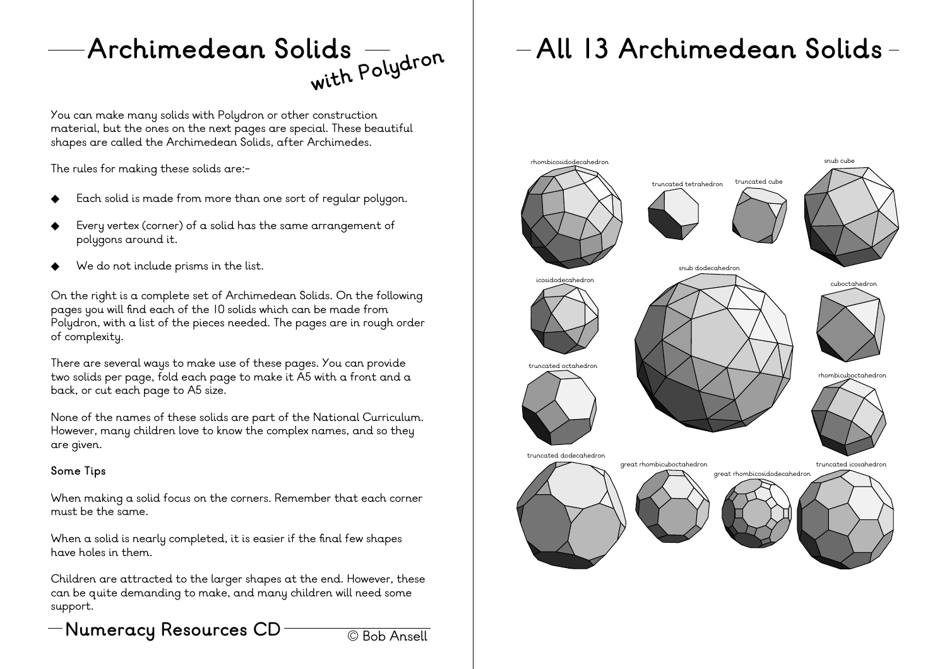**Archimedean Solids**

You can make many solids with Polydron or other construction material, but the ones on the next pages are special. These beautiful shapes are called the Archimedean Solids, after Archimedes.

The rules for making these solids are:-

- Each solid is made from more than one sort of regular polygon.
- Every vertex (corner) of a solid has the same arrangement of polygons around it.
- We do not include prisms in the list.

On the right is a complete set of Archimedean Solids. On the following pages you will find each of the 10 solids which can be made from Polydron, with a list of the pieces needed. The pages are in rough order of complexity.

There are several ways to make use of these pages. You can provide two solids per page, fold each page to make it A5 with a front and a back, or cut each page to A5 size.

None of the names of these solids are part of the National Curriculum. However, many children love to know the complex names, and so they are given.

#### **Some Tips**

When making a solid focus on the corners. Remember that each corner must be the same.

When a solid is nearly completed, it is easier if the final few shapes have holes in them.

Children are attracted to the larger shapes at the end. However, these can be quite demanding to make, and many children will need some support.



## **with Polydron All <sup>13</sup> Archimedean Solids**

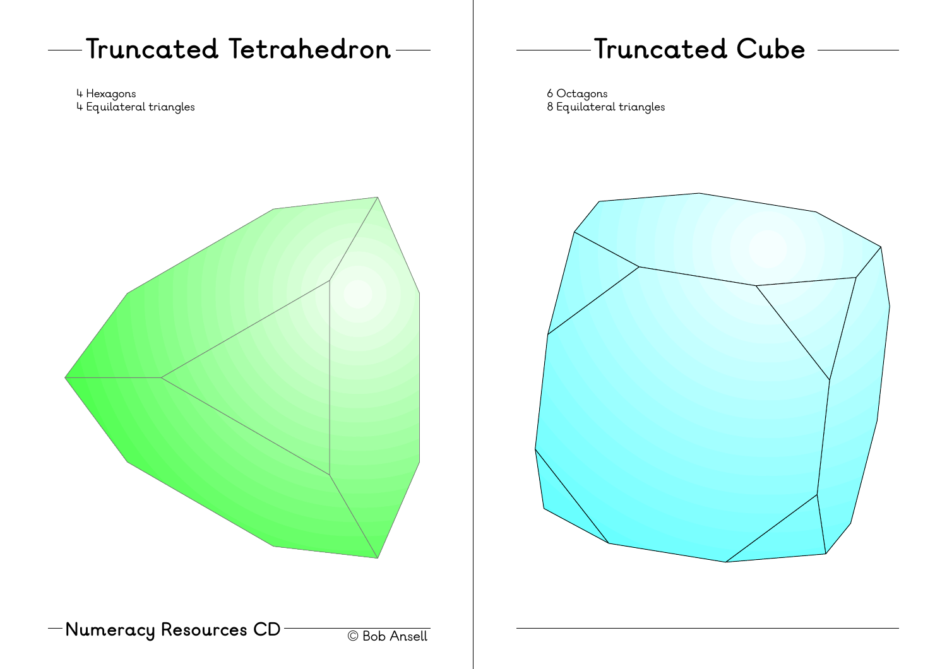# **Numeracy Resources CD** © Bob Ansell **Truncated Tetrahedron** 4 Hexagons 4 Equilateral triangles

#### **Truncated Cube**

6 Octagons 8 Equilateral triangles

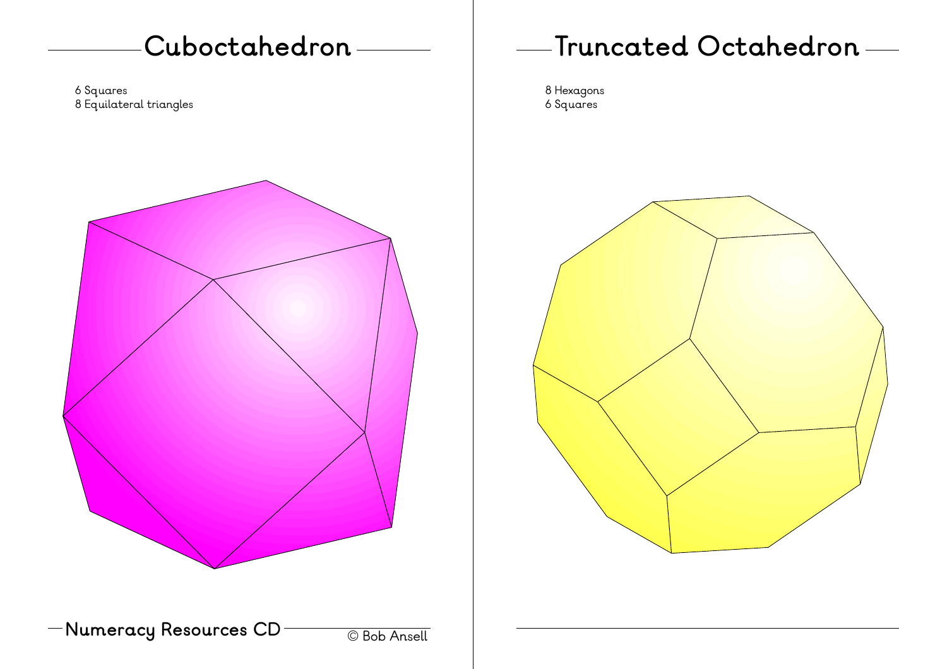#### **Cuboctahedron**

6 Squares 8 Equilateral triangles



**Numeracy Resources CD** © Bob Ansell

### **Truncated Octahedron**

8 Hexagons 6 Squares

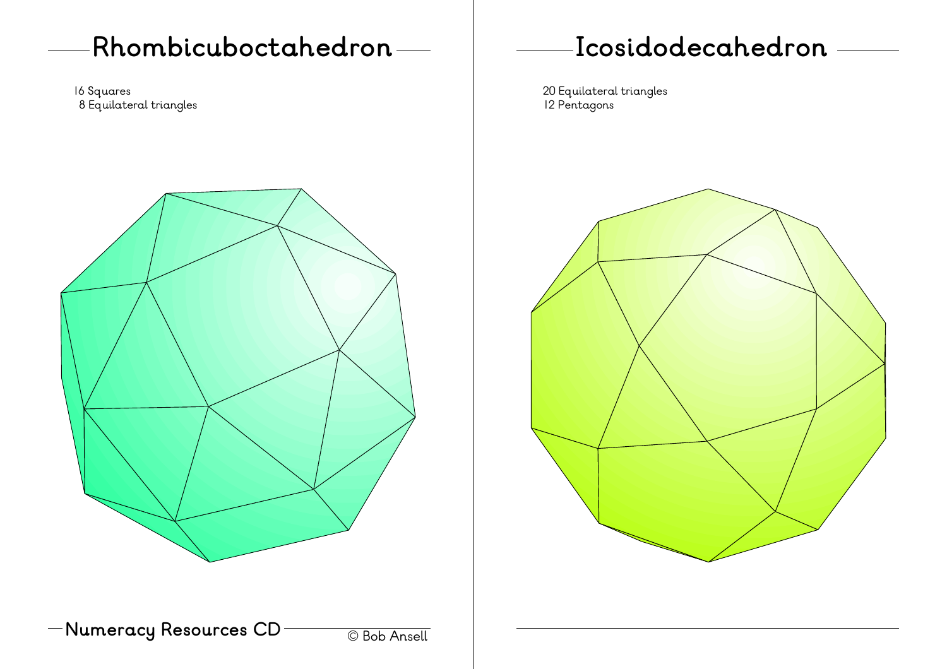#### **Rhombicuboctahedron**

16 Squares 8 Equilateral triangles



**Numeracy Resources CD** © Bob Ansell

### **Icosidodecahedron**

20 Equilateral triangles 12 Pentagons

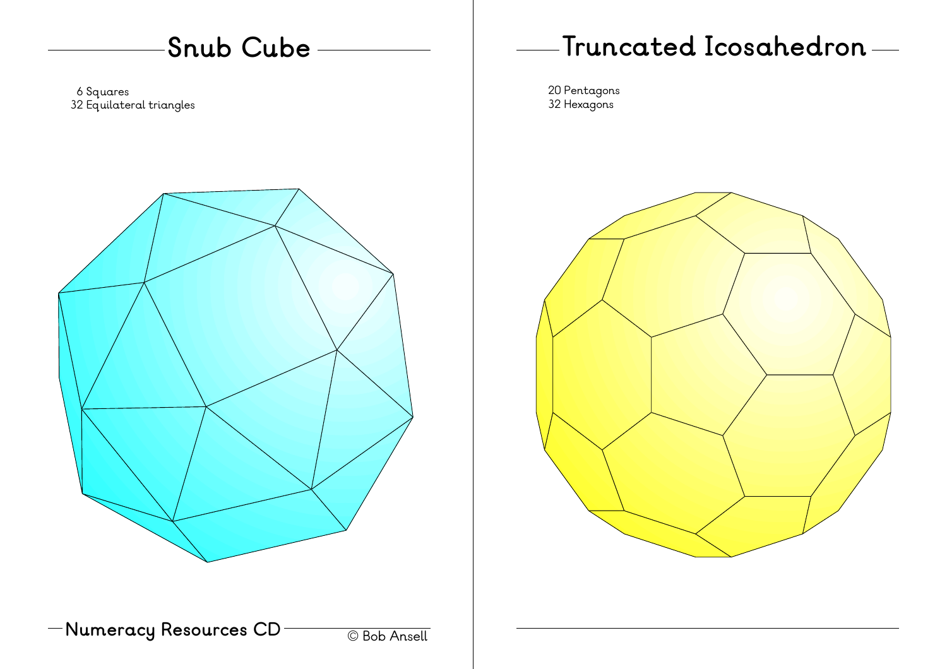